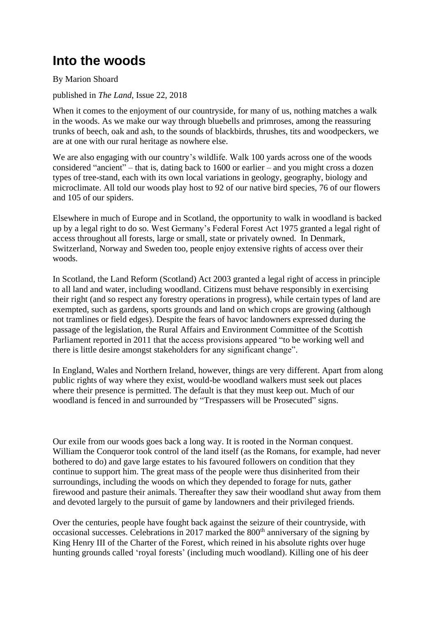## **Into the woods**

By Marion Shoard

published in *The Land*, Issue 22, 2018

When it comes to the enjoyment of our countryside, for many of us, nothing matches a walk in the woods. As we make our way through bluebells and primroses, among the reassuring trunks of beech, oak and ash, to the sounds of blackbirds, thrushes, tits and woodpeckers, we are at one with our rural heritage as nowhere else.

We are also engaging with our country's wildlife. Walk 100 yards across one of the woods considered "ancient" – that is, dating back to 1600 or earlier – and you might cross a dozen types of tree-stand, each with its own local variations in geology, geography, biology and microclimate. All told our woods play host to 92 of our native bird species, 76 of our flowers and 105 of our spiders.

Elsewhere in much of Europe and in Scotland, the opportunity to walk in woodland is backed up by a legal right to do so. West Germany's Federal Forest Act 1975 granted a legal right of access throughout all forests, large or small, state or privately owned. In Denmark, Switzerland, Norway and Sweden too, people enjoy extensive rights of access over their woods.

In Scotland, the Land Reform (Scotland) Act 2003 granted a legal right of access in principle to all land and water, including woodland. Citizens must behave responsibly in exercising their right (and so respect any forestry operations in progress), while certain types of land are exempted, such as gardens, sports grounds and land on which crops are growing (although not tramlines or field edges). Despite the fears of havoc landowners expressed during the passage of the legislation, the Rural Affairs and Environment Committee of the Scottish Parliament reported in 2011 that the access provisions appeared "to be working well and there is little desire amongst stakeholders for any significant change".

In England, Wales and Northern Ireland, however, things are very different. Apart from along public rights of way where they exist, would-be woodland walkers must seek out places where their presence is permitted. The default is that they must keep out. Much of our woodland is fenced in and surrounded by "Trespassers will be Prosecuted" signs.

Our exile from our woods goes back a long way. It is rooted in the Norman conquest. William the Conqueror took control of the land itself (as the Romans, for example, had never bothered to do) and gave large estates to his favoured followers on condition that they continue to support him. The great mass of the people were thus disinherited from their surroundings, including the woods on which they depended to forage for nuts, gather firewood and pasture their animals. Thereafter they saw their woodland shut away from them and devoted largely to the pursuit of game by landowners and their privileged friends.

Over the centuries, people have fought back against the seizure of their countryside, with occasional successes. Celebrations in 2017 marked the  $800<sup>th</sup>$  anniversary of the signing by King Henry III of the Charter of the Forest, which reined in his absolute rights over huge hunting grounds called 'royal forests' (including much woodland). Killing one of his deer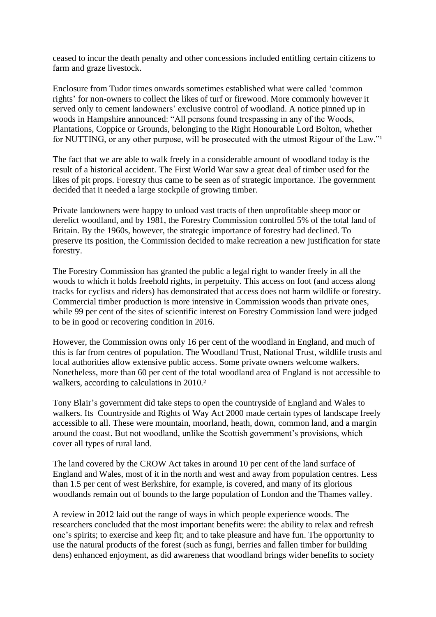ceased to incur the death penalty and other concessions included entitling certain citizens to farm and graze livestock.

Enclosure from Tudor times onwards sometimes established what were called 'common rights' for non-owners to collect the likes of turf or firewood. More commonly however it served only to cement landowners' exclusive control of woodland. A notice pinned up in woods in Hampshire announced: "All persons found trespassing in any of the Woods, Plantations, Coppice or Grounds, belonging to the Right Honourable Lord Bolton, whether for NUTTING, or any other purpose, will be prosecuted with the utmost Rigour of the Law."<sup>1</sup>

The fact that we are able to walk freely in a considerable amount of woodland today is the result of a historical accident. The First World War saw a great deal of timber used for the likes of pit props. Forestry thus came to be seen as of strategic importance. The government decided that it needed a large stockpile of growing timber.

Private landowners were happy to unload vast tracts of then unprofitable sheep moor or derelict woodland, and by 1981, the Forestry Commission controlled 5% of the total land of Britain. By the 1960s, however, the strategic importance of forestry had declined. To preserve its position, the Commission decided to make recreation a new justification for state forestry.

The Forestry Commission has granted the public a legal right to wander freely in all the woods to which it holds freehold rights, in perpetuity. This access on foot (and access along tracks for cyclists and riders) has demonstrated that access does not harm wildlife or forestry. Commercial timber production is more intensive in Commission woods than private ones, while 99 per cent of the sites of scientific interest on Forestry Commission land were judged to be in good or recovering condition in 2016.

However, the Commission owns only 16 per cent of the woodland in England, and much of this is far from centres of population. The Woodland Trust, National Trust, wildlife trusts and local authorities allow extensive public access. Some private owners welcome walkers. Nonetheless, more than 60 per cent of the total woodland area of England is not accessible to walkers, according to calculations in 2010.<sup>2</sup>

Tony Blair's government did take steps to open the countryside of England and Wales to walkers. Its Countryside and Rights of Way Act 2000 made certain types of landscape freely accessible to all. These were mountain, moorland, heath, down, common land, and a margin around the coast. But not woodland, unlike the Scottish government's provisions, which cover all types of rural land.

The land covered by the CROW Act takes in around 10 per cent of the land surface of England and Wales, most of it in the north and west and away from population centres. Less than 1.5 per cent of west Berkshire, for example, is covered, and many of its glorious woodlands remain out of bounds to the large population of London and the Thames valley.

A review in 2012 laid out the range of ways in which people experience woods. The researchers concluded that the most important benefits were: the ability to relax and refresh one's spirits; to exercise and keep fit; and to take pleasure and have fun. The opportunity to use the natural products of the forest (such as fungi, berries and fallen timber for building dens) enhanced enjoyment, as did awareness that woodland brings wider benefits to society